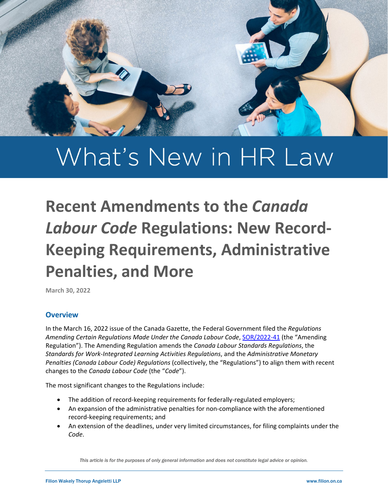

# What's New in HR Law

# **Recent Amendments to the** *Canada Labour Code* **Regulations: New Record-Keeping Requirements, Administrative Penalties, and More**

# **Overview**

In the March 16, 2022 issue of the Canada Gazette, the Federal Government filed the *Regulations Amending Certain Regulations Made Under the Canada Labour Code*[, SOR/2022-41](https://gazette.gc.ca/rp-pr/p2/2022/2022-03-16/html/sor-dors41-eng.html) (the "Amending Regulation"). The Amending Regulation amends the *Canada Labour Standards Regulations*, the *Standards for Work-Integrated Learning Activities Regulations*, and the *Administrative Monetary Penalties (Canada Labour Code) Regulations* (collectively, the "Regulations") to align them with recent changes to the *Canada Labour Code* (the "*Code*").

The most significant changes to the Regulations include:

- The addition of record-keeping requirements for federally-regulated employers;
- An expansion of the administrative penalties for non-compliance with the aforementioned record-keeping requirements; and
- An extension of the deadlines, under very limited circumstances, for filing complaints under the *Code*.

*This article is for the purposes of only general information and does not constitute legal advice or opinion.*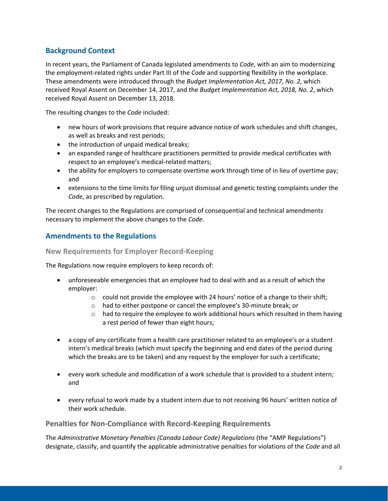# **Background Context**

In recent years, the Parliament of Canada legislated amendments to *Code*, with an aim to modernizing the employment-related rights under Part III of the *Code* and supporting flexibility in the workplace. These amendments were introduced through the *Budget Implementation Act, 2017, No. 2*, which received Royal Assent on December 14, 2017, and the *Budget Implementation Act, 2018, No. 2*, which received Royal Assent on December 13, 2018.

The resulting changes to the *Code* included:

- new hours of work provisions that require advance notice of work schedules and shift changes, as well as breaks and rest periods;
- the introduction of unpaid medical breaks;
- an expanded range of healthcare practitioners permitted to provide medical certificates with respect to an employee's medical-related matters;
- the ability for employers to compensate overtime work through time of in lieu of overtime pay; and
- extensions to the time limits for filing unjust dismissal and genetic testing complaints under the *Code*, as prescribed by regulation.

The recent changes to the Regulations are comprised of consequential and technical amendments necessary to implement the above changes to the *Code*.

# **Amendments to the Regulations**

**New Requirements for Employer Record-Keeping** 

The Regulations now require employers to keep records of:

- unforeseeable emergencies that an employee had to deal with and as a result of which the employer:
	- $\circ$  could not provide the employee with 24 hours' notice of a change to their shift;
	- o had to either postpone or cancel the employee's 30-minute break; or
	- $\circ$  had to require the employee to work additional hours which resulted in them having a rest period of fewer than eight hours;
- a copy of any certificate from a health care practitioner related to an employee's or a student intern's medical breaks (which must specify the beginning and end dates of the period during which the breaks are to be taken) and any request by the employer for such a certificate;
- every work schedule and modification of a work schedule that is provided to a student intern; and
- every refusal to work made by a student intern due to not receiving 96 hours' written notice of their work schedule.

### **Penalties for Non-Compliance with Record-Keeping Requirements**

The *Administrative Monetary Penalties (Canada Labour Code) Regulations* (the "AMP Regulations") designate, classify, and quantify the applicable administrative penalties for violations of the *Code* and all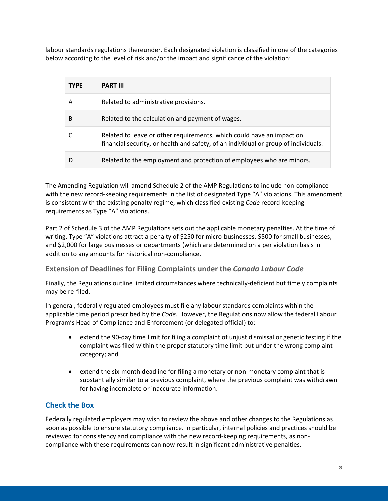labour standards regulations thereunder. Each designated violation is classified in one of the categories below according to the level of risk and/or the impact and significance of the violation:

| <b>TYPE</b> | <b>PART III</b>                                                                                                                                              |
|-------------|--------------------------------------------------------------------------------------------------------------------------------------------------------------|
| А           | Related to administrative provisions.                                                                                                                        |
| B           | Related to the calculation and payment of wages.                                                                                                             |
|             | Related to leave or other requirements, which could have an impact on<br>financial security, or health and safety, of an individual or group of individuals. |
|             | Related to the employment and protection of employees who are minors.                                                                                        |

The Amending Regulation will amend Schedule 2 of the AMP Regulations to include non-compliance with the new record-keeping requirements in the list of designated Type "A" violations. This amendment is consistent with the existing penalty regime, which classified existing *Code* record-keeping requirements as Type "A" violations.

Part 2 of Schedule 3 of the AMP Regulations sets out the applicable monetary penalties. At the time of writing, Type "A" violations attract a penalty of \$250 for micro-businesses, \$500 for small businesses, and \$2,000 for large businesses or departments (which are determined on a per violation basis in addition to any amounts for historical non-compliance.

# **Extension of Deadlines for Filing Complaints under the** *Canada Labour Code*

Finally, the Regulations outline limited circumstances where technically-deficient but timely complaints may be re-filed.

In general, federally regulated employees must file any labour standards complaints within the applicable time period prescribed by the *Code*. However, the Regulations now allow the federal Labour Program's Head of Compliance and Enforcement (or delegated official) to:

- extend the 90-day time limit for filing a complaint of unjust dismissal or genetic testing if the complaint was filed within the proper statutory time limit but under the wrong complaint category; and
- extend the six-month deadline for filing a monetary or non-monetary complaint that is substantially similar to a previous complaint, where the previous complaint was withdrawn for having incomplete or inaccurate information.

# **Check the Box**

Federally regulated employers may wish to review the above and other changes to the Regulations as soon as possible to ensure statutory compliance. In particular, internal policies and practices should be reviewed for consistency and compliance with the new record-keeping requirements, as noncompliance with these requirements can now result in significant administrative penalties.